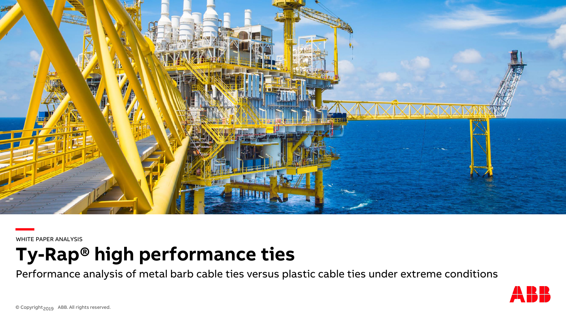

**—** WHITE PAPER ANALYSIS

**Ty-Rap® high performance ties** 

Performance analysis of metal barb cable ties versus plastic cable ties under extreme conditions

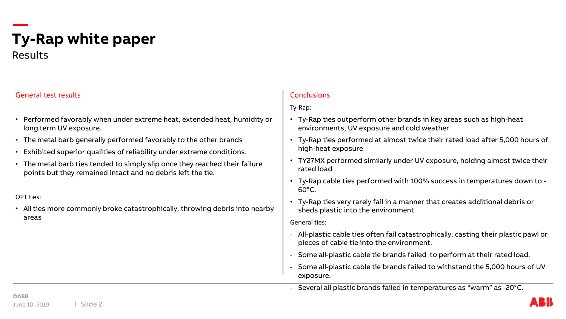## **Ty-Rap white paper** Results

### General test results

- Performed favorably when under extreme heat, extended heat, humidity or long term UV exposure.
- The metal barb generally performed favorably to the other brands
- Exhibited superior qualities of reliability under extreme conditions.
- The metal barb ties tended to simply slip once they reached their failure points but they remained intact and no debris left the tie.

#### OPT ties:

• All ties more commonly broke catastrophically, throwing debris into nearby areas

### Conclusions

Ty-Rap:

- Ty-Rap ties outperform other brands in key areas such as high-heat environments, UV exposure and cold weather
- Ty-Rap ties performed at almost twice their rated load after 5,000 hours of high-heat exposure
- TY27MX performed similarly under UV exposure, holding almost twice their rated load
- Ty-Rap cable ties performed with 100% success in temperatures down to 60°C.
- Ty-Rap ties very rarely fail in a manner that creates additional debris or sheds plastic into the environment.

General ties:

- All-plastic cable ties often fail catastrophically, casting their plastic pawl or pieces of cable tie into the environment.
- Some all-plastic cable tie brands failed to perform at their rated load.
- Some all-plastic cable tie brands failed to withstand the 5,000 hours of UV exposure.
- Several all plastic brands failed in temperatures as "warm" as -20°C.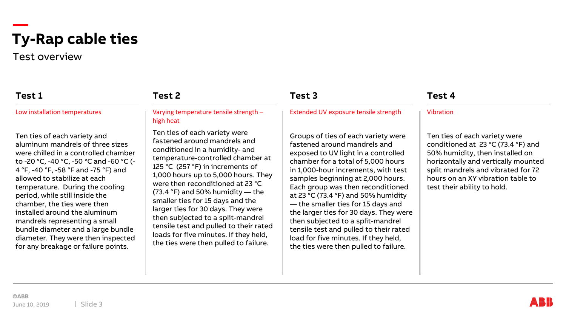Test overview

## **Test 1**

Low installation temperatures

Ten ties of each variety and aluminum mandrels of three sizes were chilled in a controlled chamber to -20 °C, -40 °C, -50 °C and -60 °C (- 4 °F, -40 °F, -58 °F and -75 °F) and allowed to stabilize at each temperature. During the cooling period, while still inside the chamber, the ties were then installed around the aluminum mandrels representing a small bundle diameter and a large bundle diameter. They were then inspected for any breakage or failure points.

#### Varying temperature tensile strength – high heat

**Test 2**

Ten ties of each variety were fastened around mandrels and conditioned in a humidity- and temperature-controlled chamber at 125 °C (257 °F) in increments of 1,000 hours up to 5,000 hours. They were then reconditioned at 23 °C (73.4 °F) and 50% humidity — the smaller ties for 15 days and the larger ties for 30 days. They were then subjected to a split-mandrel tensile test and pulled to their rated loads for five minutes. If they held, the ties were then pulled to failure.

## **Test 3**

Extended UV exposure tensile strength

Groups of ties of each variety were fastened around mandrels and exposed to UV light in a controlled chamber for a total of 5,000 hours in 1,000-hour increments, with test samples beginning at 2,000 hours. Each group was then reconditioned at 23 °C (73.4 °F) and 50% humidity — the smaller ties for 15 days and the larger ties for 30 days. They were then subjected to a split-mandrel tensile test and pulled to their rated load for five minutes. If they held, the ties were then pulled to failure.

## **Test 4**

#### Vibration

Ten ties of each variety were conditioned at 23 °C (73.4 °F) and 50% humidity, then installed on horizontally and vertically mounted split mandrels and vibrated for 72 hours on an XY vibration table to test their ability to hold.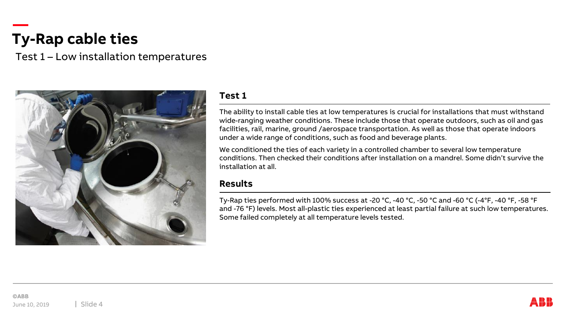Test 1 – Low installation temperatures



### **Test 1**

The ability to install cable ties at low temperatures is crucial for installations that must withstand wide-ranging weather conditions. These include those that operate outdoors, such as oil and gas facilities, rail, marine, ground /aerospace transportation. As well as those that operate indoors under a wide range of conditions, such as food and beverage plants.

We conditioned the ties of each variety in a controlled chamber to several low temperature conditions. Then checked their conditions after installation on a mandrel. Some didn't survive the installation at all.

### **Results**

Ty-Rap ties performed with 100% success at -20 °C, -40 °C, -50 °C and -60 °C (-4°F, -40 °F, -58 °F and -76 °F) levels. Most all-plastic ties experienced at least partial failure at such low temperatures. Some failed completely at all temperature levels tested.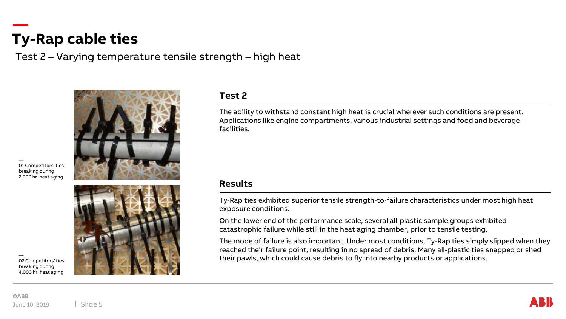Test 2 – Varying temperature tensile strength – high heat



— 01 Competitors' ties breaking during 2,000 hr. heat aging



## **Test 2**

The ability to withstand constant high heat is crucial wherever such conditions are present. Applications like engine compartments, various industrial settings and food and beverage facilities.

#### **Results**

Ty-Rap ties exhibited superior tensile strength-to-failure characteristics under most high heat exposure conditions.

On the lower end of the performance scale, several all-plastic sample groups exhibited catastrophic failure while still in the heat aging chamber, prior to tensile testing.

The mode of failure is also important. Under most conditions, Ty-Rap ties simply slipped when they reached their failure point, resulting in no spread of debris. Many all-plastic ties snapped or shed their pawls, which could cause debris to fly into nearby products or applications.

— 02 Competitors' ties breaking during 4,000 hr. heat aging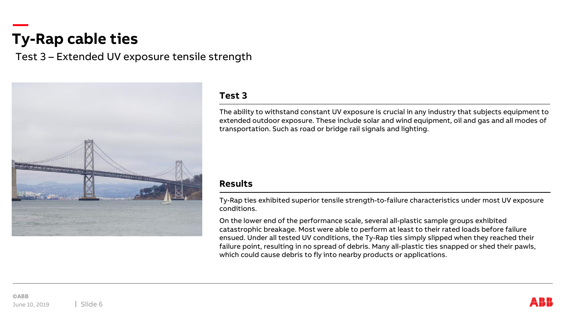Test 3 – Extended UV exposure tensile strength



## **Test 3**

The ability to withstand constant UV exposure is crucial in any industry that subjects equipment to extended outdoor exposure. These include solar and wind equipment, oil and gas and all modes of transportation. Such as road or bridge rail signals and lighting.

### **Results**

Ty-Rap ties exhibited superior tensile strength-to-failure characteristics under most UV exposure conditions.

On the lower end of the performance scale, several all-plastic sample groups exhibited catastrophic breakage. Most were able to perform at least to their rated loads before failure ensued. Under all tested UV conditions, the Ty-Rap ties simply slipped when they reached their failure point, resulting in no spread of debris. Many all-plastic ties snapped or shed their pawls, which could cause debris to fly into nearby products or applications.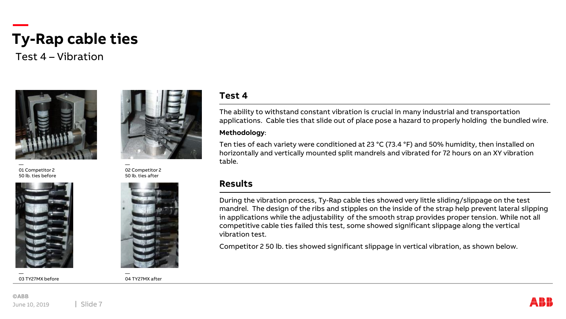Test 4 – Vibration



01 Competitor 2 50 lb. ties before



— 03 TY27MX before



— 02 Competitor 2 50 lb. ties after



#### — 04 TY27MX after

### **Test 4**

The ability to withstand constant vibration is crucial in many industrial and transportation applications. Cable ties that slide out of place pose a hazard to properly holding the bundled wire.

#### **Methodology**:

Ten ties of each variety were conditioned at 23 °C (73.4 °F) and 50% humidity, then installed on horizontally and vertically mounted split mandrels and vibrated for 72 hours on an XY vibration table.

#### **Results**

During the vibration process, Ty-Rap cable ties showed very little sliding/slippage on the test mandrel. The design of the ribs and stipples on the inside of the strap help prevent lateral slipping in applications while the adjustability of the smooth strap provides proper tension. While not all competitive cable ties failed this test, some showed significant slippage along the vertical vibration test.

Competitor 2 50 lb. ties showed significant slippage in vertical vibration, as shown below.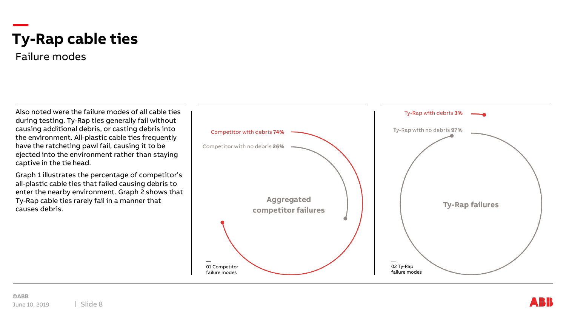Failure modes

Also noted were the failure modes of all cable ties during testing. Ty-Rap ties generally fail without causing additional debris, or casting debris into the environment. All-plastic cable ties frequently have the ratcheting pawl fail, causing it to be ejected into the environment rather than staying captive in the tie head.

Graph 1 illustrates the percentage of competitor's all-plastic cable ties that failed causing debris to enter the nearby environment. Graph 2 shows that Ty-Rap cable ties rarely fail in a manner that causes debris.

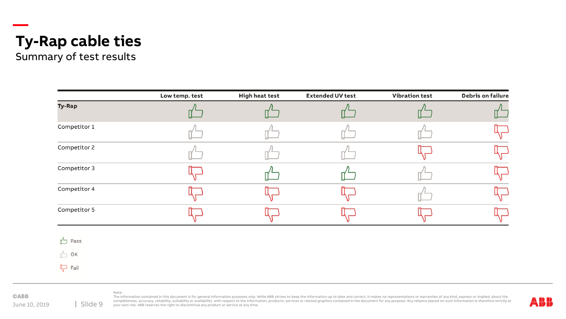

Summary of test results

|                   | Low temp. test | <b>High heat test</b> | <b>Extended UV test</b> | <b>Vibration test</b> | <b>Debris on failure</b> |
|-------------------|----------------|-----------------------|-------------------------|-----------------------|--------------------------|
| <b>Ty-Rap</b>     |                |                       |                         |                       |                          |
| Competitor 1      |                |                       |                         |                       |                          |
| Competitor 2      |                |                       |                         |                       |                          |
| Competitor 3      |                |                       |                         |                       |                          |
| Competitor 4      |                |                       |                         |                       |                          |
| Competitor 5      |                |                       |                         |                       |                          |
| $\mathbb{L}$ Pass |                |                       |                         |                       |                          |
| $\sqrt{2}$ OK     |                |                       |                         |                       |                          |

 $\Box$  Fail

**©ABB** June 10, 2019

The information contained in this document is for general information purposes only. While ABB strives to keep the information up to date and correct, it makes no representations or warranties of any kind, express or impli sompleteness, accuracy, reliability, suitability or availability with respect to the information, products, services or related graphics contained in the document for any purpose. Any reliance placed on such information is